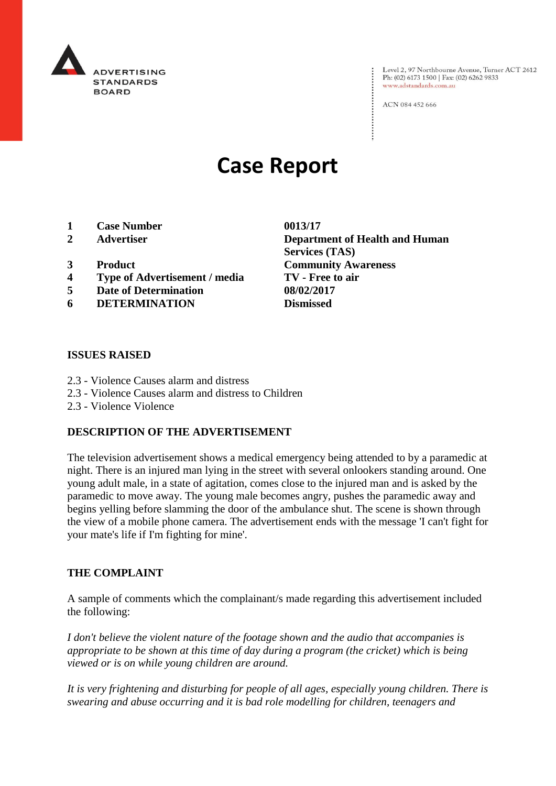

Level 2, 97 Northbourne Avenue, Turner ACT 2612<br>Ph: (02) 6173 1500 | Fax: (02) 6262 9833 www.adstandards.com.au

ACN 084 452 666

# **Case Report**

- **1 Case Number 0013/17**
- 
- 
- **4 Type of Advertisement / media TV - Free to air**
- **5 Date of Determination 08/02/2017**
- **6 DETERMINATION Dismissed**

**2 Advertiser Department of Health and Human Services (TAS) 3 Product Community Awareness**

#### **ISSUES RAISED**

- 2.3 Violence Causes alarm and distress
- 2.3 Violence Causes alarm and distress to Children
- 2.3 Violence Violence

## **DESCRIPTION OF THE ADVERTISEMENT**

The television advertisement shows a medical emergency being attended to by a paramedic at night. There is an injured man lying in the street with several onlookers standing around. One young adult male, in a state of agitation, comes close to the injured man and is asked by the paramedic to move away. The young male becomes angry, pushes the paramedic away and begins yelling before slamming the door of the ambulance shut. The scene is shown through the view of a mobile phone camera. The advertisement ends with the message 'I can't fight for your mate's life if I'm fighting for mine'.

## **THE COMPLAINT**

A sample of comments which the complainant/s made regarding this advertisement included the following:

*I don't believe the violent nature of the footage shown and the audio that accompanies is appropriate to be shown at this time of day during a program (the cricket) which is being viewed or is on while young children are around.*

*It is very frightening and disturbing for people of all ages, especially young children. There is swearing and abuse occurring and it is bad role modelling for children, teenagers and*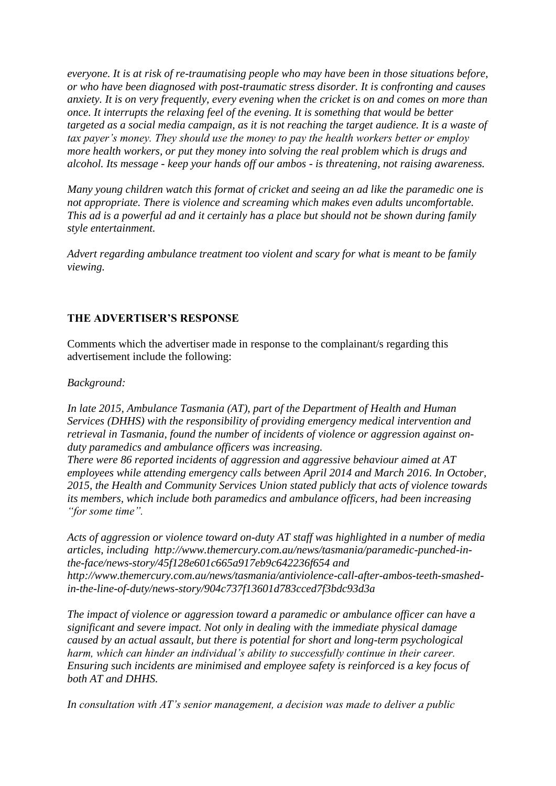*everyone. It is at risk of re-traumatising people who may have been in those situations before, or who have been diagnosed with post-traumatic stress disorder. It is confronting and causes anxiety. It is on very frequently, every evening when the cricket is on and comes on more than once. It interrupts the relaxing feel of the evening. It is something that would be better targeted as a social media campaign, as it is not reaching the target audience. It is a waste of tax payer's money. They should use the money to pay the health workers better or employ more health workers, or put they money into solving the real problem which is drugs and alcohol. Its message - keep your hands off our ambos - is threatening, not raising awareness.*

*Many young children watch this format of cricket and seeing an ad like the paramedic one is not appropriate. There is violence and screaming which makes even adults uncomfortable. This ad is a powerful ad and it certainly has a place but should not be shown during family style entertainment.*

*Advert regarding ambulance treatment too violent and scary for what is meant to be family viewing.*

## **THE ADVERTISER'S RESPONSE**

Comments which the advertiser made in response to the complainant/s regarding this advertisement include the following:

## *Background:*

*In late 2015, Ambulance Tasmania (AT), part of the Department of Health and Human Services (DHHS) with the responsibility of providing emergency medical intervention and retrieval in Tasmania, found the number of incidents of violence or aggression against onduty paramedics and ambulance officers was increasing.*

*There were 86 reported incidents of aggression and aggressive behaviour aimed at AT employees while attending emergency calls between April 2014 and March 2016. In October, 2015, the Health and Community Services Union stated publicly that acts of violence towards its members, which include both paramedics and ambulance officers, had been increasing "for some time".*

*Acts of aggression or violence toward on-duty AT staff was highlighted in a number of media articles, including http://www.themercury.com.au/news/tasmania/paramedic-punched-inthe-face/news-story/45f128e601c665a917eb9c642236f654 and http://www.themercury.com.au/news/tasmania/antiviolence-call-after-ambos-teeth-smashedin-the-line-of-duty/news-story/904c737f13601d783cced7f3bdc93d3a*

*The impact of violence or aggression toward a paramedic or ambulance officer can have a significant and severe impact. Not only in dealing with the immediate physical damage caused by an actual assault, but there is potential for short and long-term psychological harm, which can hinder an individual's ability to successfully continue in their career. Ensuring such incidents are minimised and employee safety is reinforced is a key focus of both AT and DHHS.*

*In consultation with AT's senior management, a decision was made to deliver a public*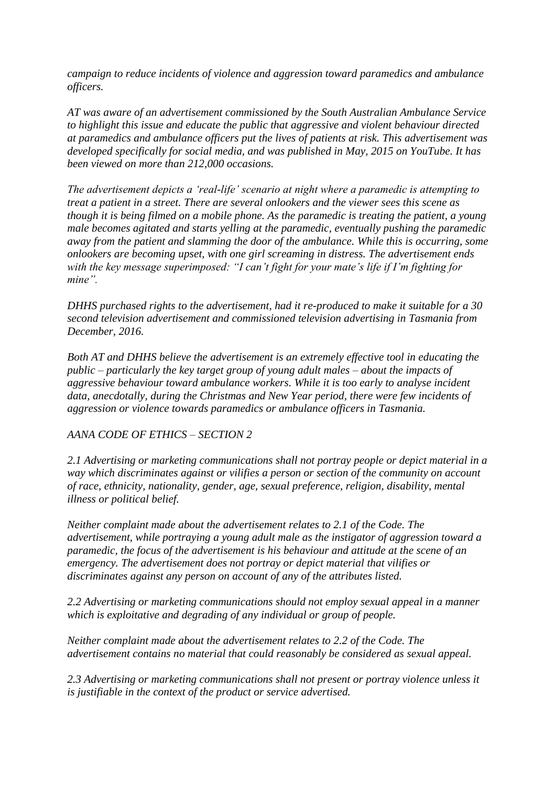*campaign to reduce incidents of violence and aggression toward paramedics and ambulance officers.*

*AT was aware of an advertisement commissioned by the South Australian Ambulance Service to highlight this issue and educate the public that aggressive and violent behaviour directed at paramedics and ambulance officers put the lives of patients at risk. This advertisement was developed specifically for social media, and was published in May, 2015 on YouTube. It has been viewed on more than 212,000 occasions.*

*The advertisement depicts a 'real-life' scenario at night where a paramedic is attempting to treat a patient in a street. There are several onlookers and the viewer sees this scene as though it is being filmed on a mobile phone. As the paramedic is treating the patient, a young male becomes agitated and starts yelling at the paramedic, eventually pushing the paramedic away from the patient and slamming the door of the ambulance. While this is occurring, some onlookers are becoming upset, with one girl screaming in distress. The advertisement ends with the key message superimposed: "I can't fight for your mate's life if I'm fighting for mine".*

*DHHS purchased rights to the advertisement, had it re-produced to make it suitable for a 30 second television advertisement and commissioned television advertising in Tasmania from December, 2016.*

*Both AT and DHHS believe the advertisement is an extremely effective tool in educating the public – particularly the key target group of young adult males – about the impacts of aggressive behaviour toward ambulance workers. While it is too early to analyse incident data, anecdotally, during the Christmas and New Year period, there were few incidents of aggression or violence towards paramedics or ambulance officers in Tasmania.*

## *AANA CODE OF ETHICS – SECTION 2*

*2.1 Advertising or marketing communications shall not portray people or depict material in a way which discriminates against or vilifies a person or section of the community on account of race, ethnicity, nationality, gender, age, sexual preference, religion, disability, mental illness or political belief.*

*Neither complaint made about the advertisement relates to 2.1 of the Code. The advertisement, while portraying a young adult male as the instigator of aggression toward a paramedic, the focus of the advertisement is his behaviour and attitude at the scene of an emergency. The advertisement does not portray or depict material that vilifies or discriminates against any person on account of any of the attributes listed.*

*2.2 Advertising or marketing communications should not employ sexual appeal in a manner which is exploitative and degrading of any individual or group of people.*

*Neither complaint made about the advertisement relates to 2.2 of the Code. The advertisement contains no material that could reasonably be considered as sexual appeal.*

*2.3 Advertising or marketing communications shall not present or portray violence unless it is justifiable in the context of the product or service advertised.*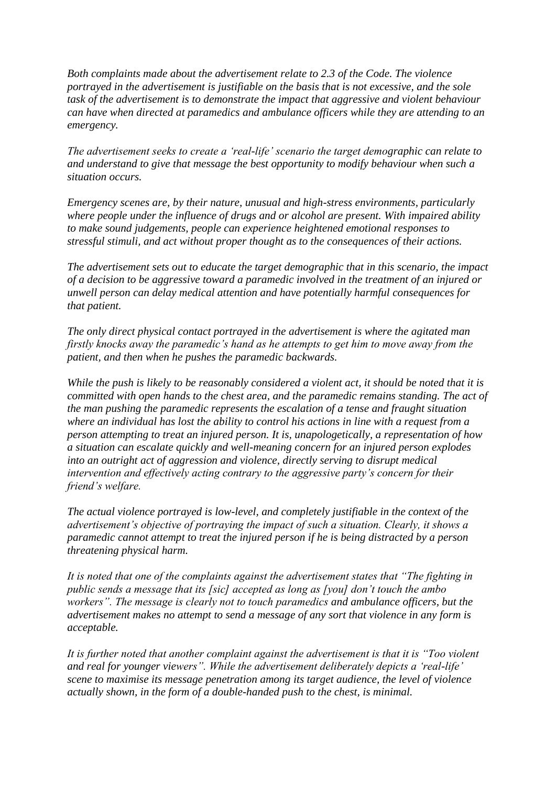*Both complaints made about the advertisement relate to 2.3 of the Code. The violence portrayed in the advertisement is justifiable on the basis that is not excessive, and the sole task of the advertisement is to demonstrate the impact that aggressive and violent behaviour can have when directed at paramedics and ambulance officers while they are attending to an emergency.*

*The advertisement seeks to create a 'real-life' scenario the target demographic can relate to and understand to give that message the best opportunity to modify behaviour when such a situation occurs.*

*Emergency scenes are, by their nature, unusual and high-stress environments, particularly where people under the influence of drugs and or alcohol are present. With impaired ability to make sound judgements, people can experience heightened emotional responses to stressful stimuli, and act without proper thought as to the consequences of their actions.*

*The advertisement sets out to educate the target demographic that in this scenario, the impact of a decision to be aggressive toward a paramedic involved in the treatment of an injured or unwell person can delay medical attention and have potentially harmful consequences for that patient.*

*The only direct physical contact portrayed in the advertisement is where the agitated man firstly knocks away the paramedic's hand as he attempts to get him to move away from the patient, and then when he pushes the paramedic backwards.*

*While the push is likely to be reasonably considered a violent act, it should be noted that it is committed with open hands to the chest area, and the paramedic remains standing. The act of the man pushing the paramedic represents the escalation of a tense and fraught situation where an individual has lost the ability to control his actions in line with a request from a person attempting to treat an injured person. It is, unapologetically, a representation of how a situation can escalate quickly and well-meaning concern for an injured person explodes into an outright act of aggression and violence, directly serving to disrupt medical intervention and effectively acting contrary to the aggressive party's concern for their friend's welfare.*

*The actual violence portrayed is low-level, and completely justifiable in the context of the advertisement's objective of portraying the impact of such a situation. Clearly, it shows a paramedic cannot attempt to treat the injured person if he is being distracted by a person threatening physical harm.*

*It is noted that one of the complaints against the advertisement states that "The fighting in public sends a message that its [sic] accepted as long as [you] don't touch the ambo workers". The message is clearly not to touch paramedics and ambulance officers, but the advertisement makes no attempt to send a message of any sort that violence in any form is acceptable.*

*It is further noted that another complaint against the advertisement is that it is "Too violent and real for younger viewers". While the advertisement deliberately depicts a 'real-life' scene to maximise its message penetration among its target audience, the level of violence actually shown, in the form of a double-handed push to the chest, is minimal.*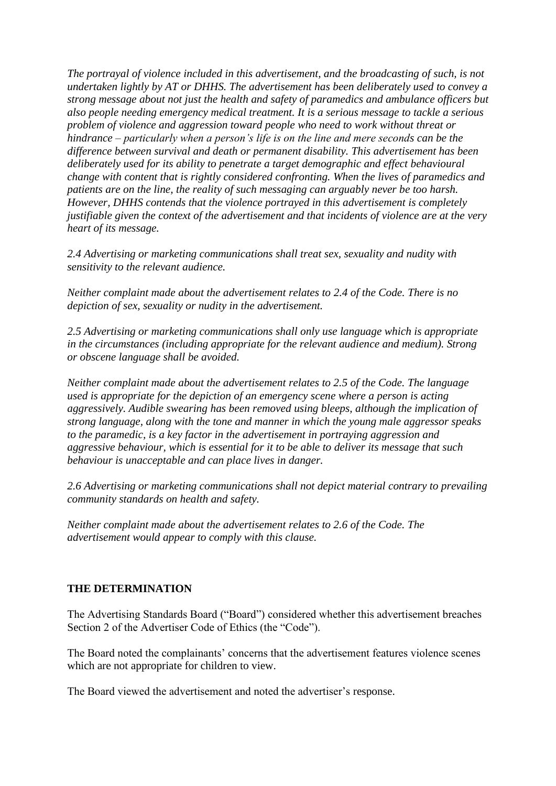*The portrayal of violence included in this advertisement, and the broadcasting of such, is not undertaken lightly by AT or DHHS. The advertisement has been deliberately used to convey a strong message about not just the health and safety of paramedics and ambulance officers but also people needing emergency medical treatment. It is a serious message to tackle a serious problem of violence and aggression toward people who need to work without threat or hindrance – particularly when a person's life is on the line and mere seconds can be the difference between survival and death or permanent disability. This advertisement has been deliberately used for its ability to penetrate a target demographic and effect behavioural change with content that is rightly considered confronting. When the lives of paramedics and patients are on the line, the reality of such messaging can arguably never be too harsh. However, DHHS contends that the violence portrayed in this advertisement is completely justifiable given the context of the advertisement and that incidents of violence are at the very heart of its message.*

*2.4 Advertising or marketing communications shall treat sex, sexuality and nudity with sensitivity to the relevant audience.*

*Neither complaint made about the advertisement relates to 2.4 of the Code. There is no depiction of sex, sexuality or nudity in the advertisement.*

*2.5 Advertising or marketing communications shall only use language which is appropriate in the circumstances (including appropriate for the relevant audience and medium). Strong or obscene language shall be avoided.*

*Neither complaint made about the advertisement relates to 2.5 of the Code. The language used is appropriate for the depiction of an emergency scene where a person is acting aggressively. Audible swearing has been removed using bleeps, although the implication of strong language, along with the tone and manner in which the young male aggressor speaks to the paramedic, is a key factor in the advertisement in portraying aggression and aggressive behaviour, which is essential for it to be able to deliver its message that such behaviour is unacceptable and can place lives in danger.*

*2.6 Advertising or marketing communications shall not depict material contrary to prevailing community standards on health and safety.*

*Neither complaint made about the advertisement relates to 2.6 of the Code. The advertisement would appear to comply with this clause.*

## **THE DETERMINATION**

The Advertising Standards Board ("Board") considered whether this advertisement breaches Section 2 of the Advertiser Code of Ethics (the "Code").

The Board noted the complainants' concerns that the advertisement features violence scenes which are not appropriate for children to view.

The Board viewed the advertisement and noted the advertiser's response.